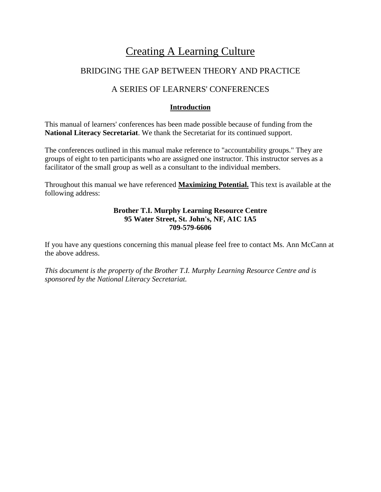# Creating A Learning Culture

# BRIDGING THE GAP BETWEEN THEORY AND PRACTICE

# A SERIES OF LEARNERS' CONFERENCES

## **Introduction**

This manual of learners' conferences has been made possible because of funding from the **National Literacy Secretariat**. We thank the Secretariat for its continued support.

The conferences outlined in this manual make reference to "accountability groups." They are groups of eight to ten participants who are assigned one instructor. This instructor serves as a facilitator of the small group as well as a consultant to the individual members.

Throughout this manual we have referenced **Maximizing Potential.** This text is available at the following address:

## **Brother T.I. Murphy Learning Resource Centre 95 Water Street, St. John's, NF, A1C 1A5 709-579-6606**

If you have any questions concerning this manual please feel free to contact Ms. Ann McCann at the above address.

*This document is the property of the Brother T.I. Murphy Learning Resource Centre and is sponsored by the National Literacy Secretariat.*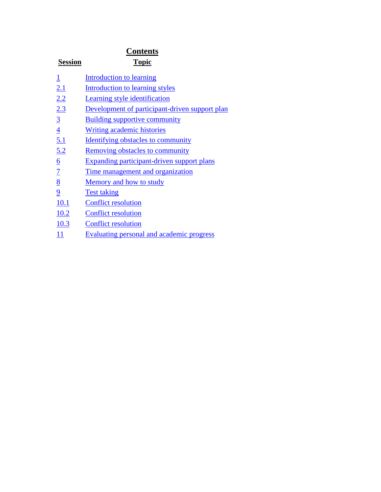| <b>Contents</b> |                                                   |  |
|-----------------|---------------------------------------------------|--|
| <b>Session</b>  | <b>Topic</b>                                      |  |
| $\overline{1}$  | Introduction to learning                          |  |
| 2.1             | Introduction to learning styles                   |  |
| 2.2             | <b>Learning style identification</b>              |  |
| 2.3             | Development of participant-driven support plan    |  |
| $\overline{3}$  | <b>Building supportive community</b>              |  |
| $\overline{4}$  | Writing academic histories                        |  |
| 5.1             | <b>Identifying obstacles to community</b>         |  |
| 5.2             | <b>Removing obstacles to community</b>            |  |
| $\underline{6}$ | <b>Expanding participant-driven support plans</b> |  |
| $\overline{1}$  | <u>Time management and organization</u>           |  |
| $\underline{8}$ | Memory and how to study                           |  |
| $\overline{9}$  | <b>Test taking</b>                                |  |
| <u>10.1</u>     | <b>Conflict resolution</b>                        |  |
| 10.2            | <b>Conflict resolution</b>                        |  |
| 10.3            | <b>Conflict resolution</b>                        |  |
| 11              | <b>Evaluating personal and academic progress</b>  |  |
|                 |                                                   |  |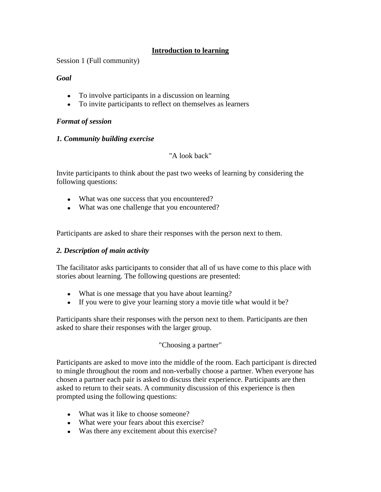## **Introduction to learning**

<span id="page-2-0"></span>Session 1 (Full community)

### *Goal*

- To involve participants in a discussion on learning
- To invite participants to reflect on themselves as learners

#### *Format of session*

### *1. Community building exercise*

### "A look back"

Invite participants to think about the past two weeks of learning by considering the following questions:

- What was one success that you encountered?
- What was one challenge that you encountered?

Participants are asked to share their responses with the person next to them.

#### *2. Description of main activity*

The facilitator asks participants to consider that all of us have come to this place with stories about learning. The following questions are presented:

- What is one message that you have about learning?
- If you were to give your learning story a movie title what would it be?

Participants share their responses with the person next to them. Participants are then asked to share their responses with the larger group.

## "Choosing a partner"

Participants are asked to move into the middle of the room. Each participant is directed to mingle throughout the room and non-verbally choose a partner. When everyone has chosen a partner each pair is asked to discuss their experience. Participants are then asked to return to their seats. A community discussion of this experience is then prompted using the following questions:

- What was it like to choose someone?
- What were your fears about this exercise?
- Was there any excitement about this exercise?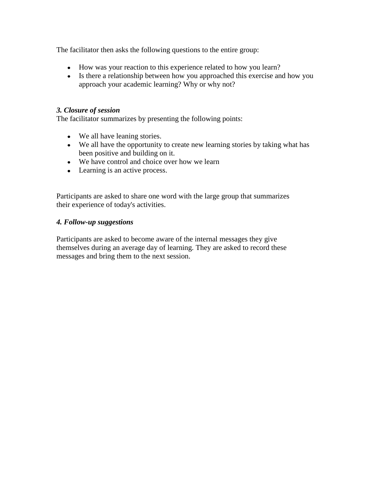The facilitator then asks the following questions to the entire group:

- How was your reaction to this experience related to how you learn?
- Is there a relationship between how you approached this exercise and how you approach your academic learning? Why or why not?

#### *3. Closure of session*

The facilitator summarizes by presenting the following points:

- We all have leaning stories.
- We all have the opportunity to create new learning stories by taking what has been positive and building on it.
- We have control and choice over how we learn
- Learning is an active process.

Participants are asked to share one word with the large group that summarizes their experience of today's activities.

### *4. Follow-up suggestions*

Participants are asked to become aware of the internal messages they give themselves during an average day of learning. They are asked to record these messages and bring them to the next session.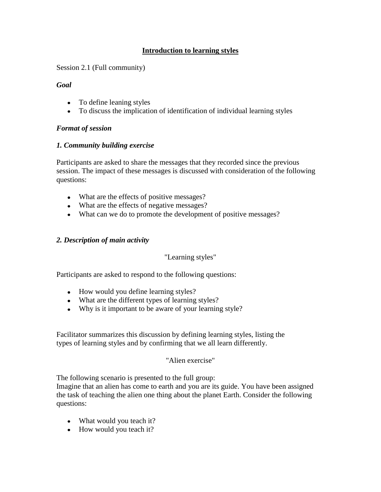## **Introduction to learning styles**

<span id="page-4-0"></span>Session 2.1 (Full community)

## *Goal*

- To define leaning styles
- To discuss the implication of identification of individual learning styles

## *Format of session*

## *1. Community building exercise*

Participants are asked to share the messages that they recorded since the previous session. The impact of these messages is discussed with consideration of the following questions:

- What are the effects of positive messages?
- What are the effects of negative messages?
- What can we do to promote the development of positive messages?

## *2. Description of main activity*

## "Learning styles"

Participants are asked to respond to the following questions:

- How would you define learning styles?
- What are the different types of learning styles?
- Why is it important to be aware of your learning style?

Facilitator summarizes this discussion by defining learning styles, listing the types of learning styles and by confirming that we all learn differently.

## "Alien exercise"

The following scenario is presented to the full group:

Imagine that an alien has come to earth and you are its guide. You have been assigned the task of teaching the alien one thing about the planet Earth. Consider the following questions:

- What would you teach it?
- How would you teach it?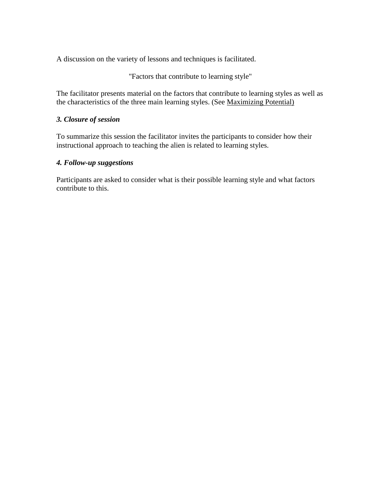A discussion on the variety of lessons and techniques is facilitated.

"Factors that contribute to learning style"

The facilitator presents material on the factors that contribute to learning styles as well as the characteristics of the three main learning styles. (See Maximizing Potential)

### *3. Closure of session*

To summarize this session the facilitator invites the participants to consider how their instructional approach to teaching the alien is related to learning styles.

### *4. Follow-up suggestions*

Participants are asked to consider what is their possible learning style and what factors contribute to this.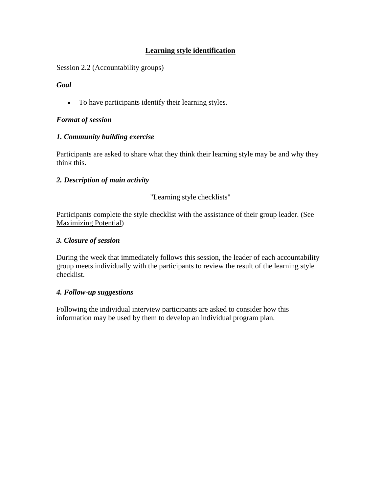# **Learning style identification**

<span id="page-6-0"></span>Session 2.2 (Accountability groups)

## *Goal*

To have participants identify their learning styles.

## *Format of session*

### *1. Community building exercise*

Participants are asked to share what they think their learning style may be and why they think this.

### *2. Description of main activity*

### "Learning style checklists"

Participants complete the style checklist with the assistance of their group leader. (See Maximizing Potential)

#### *3. Closure of session*

During the week that immediately follows this session, the leader of each accountability group meets individually with the participants to review the result of the learning style checklist.

#### *4. Follow-up suggestions*

Following the individual interview participants are asked to consider how this information may be used by them to develop an individual program plan.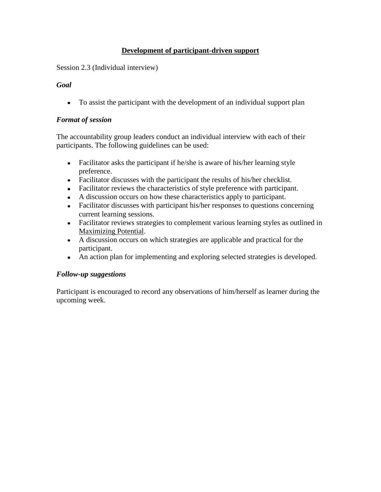## **Development of participant-driven support**

<span id="page-7-0"></span>Session 2.3 (Individual interview)

## *Goal*

To assist the participant with the development of an individual support plan

## *Format of session*

The accountability group leaders conduct an individual interview with each of their participants. The following guidelines can be used:

- Facilitator asks the participant if he/she is aware of his/her learning style preference.
- Facilitator discusses with the participant the results of his/her checklist.
- Facilitator reviews the characteristics of style preference with participant.
- A discussion occurs on how these characteristics apply to participant.
- Facilitator discusses with participant his/her responses to questions concerning current learning sessions.
- Facilitator reviews strategies to complement various learning styles as outlined in Maximizing Potential.
- A discussion occurs on which strategies are applicable and practical for the participant.
- An action plan for implementing and exploring selected strategies is developed.

## *Follow-up suggestions*

Participant is encouraged to record any observations of him/herself as learner during the upcoming week.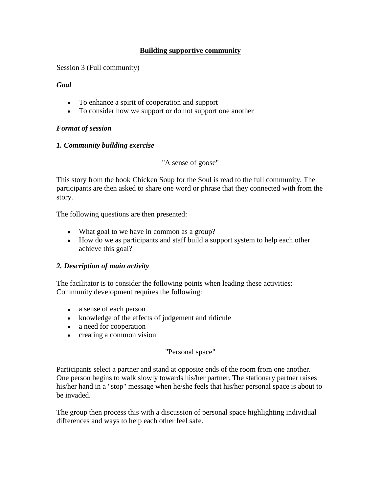## **Building supportive community**

<span id="page-8-0"></span>Session 3 (Full community)

### *Goal*

- To enhance a spirit of cooperation and support
- To consider how we support or do not support one another

## *Format of session*

### *1. Community building exercise*

"A sense of goose"

This story from the book Chicken Soup for the Soul is read to the full community. The participants are then asked to share one word or phrase that they connected with from the story.

The following questions are then presented:

- What goal to we have in common as a group?
- How do we as participants and staff build a support system to help each other achieve this goal?

#### *2. Description of main activity*

The facilitator is to consider the following points when leading these activities: Community development requires the following:

- a sense of each person
- knowledge of the effects of judgement and ridicule
- a need for cooperation
- creating a common vision

## "Personal space"

Participants select a partner and stand at opposite ends of the room from one another. One person begins to walk slowly towards his/her partner. The stationary partner raises his/her hand in a "stop" message when he/she feels that his/her personal space is about to be invaded.

The group then process this with a discussion of personal space highlighting individual differences and ways to help each other feel safe.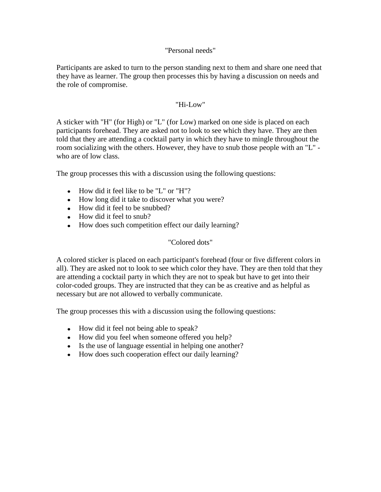#### "Personal needs"

Participants are asked to turn to the person standing next to them and share one need that they have as learner. The group then processes this by having a discussion on needs and the role of compromise.

#### "Hi-Low"

A sticker with "H" (for High) or "L" (for Low) marked on one side is placed on each participants forehead. They are asked not to look to see which they have. They are then told that they are attending a cocktail party in which they have to mingle throughout the room socializing with the others. However, they have to snub those people with an "L" who are of low class.

The group processes this with a discussion using the following questions:

- How did it feel like to be "L" or "H"?
- How long did it take to discover what you were?
- How did it feel to be snubbed?
- How did it feel to snub?
- How does such competition effect our daily learning?

## "Colored dots"

A colored sticker is placed on each participant's forehead (four or five different colors in all). They are asked not to look to see which color they have. They are then told that they are attending a cocktail party in which they are not to speak but have to get into their color-coded groups. They are instructed that they can be as creative and as helpful as necessary but are not allowed to verbally communicate.

The group processes this with a discussion using the following questions:

- How did it feel not being able to speak?
- How did you feel when someone offered you help?
- Is the use of language essential in helping one another?
- How does such cooperation effect our daily learning?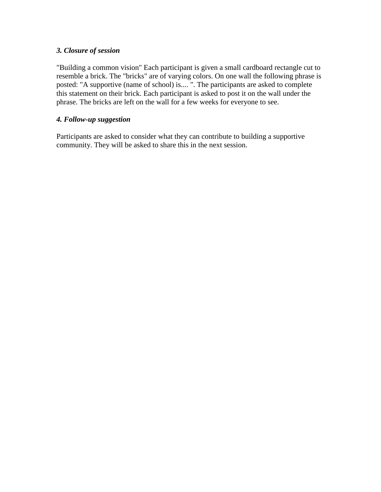## *3. Closure of session*

"Building a common vision" Each participant is given a small cardboard rectangle cut to resemble a brick. The "bricks" are of varying colors. On one wall the following phrase is posted: "A supportive (name of school) is.... ". The participants are asked to complete this statement on their brick. Each participant is asked to post it on the wall under the phrase. The bricks are left on the wall for a few weeks for everyone to see.

### *4. Follow-up suggestion*

Participants are asked to consider what they can contribute to building a supportive community. They will be asked to share this in the next session.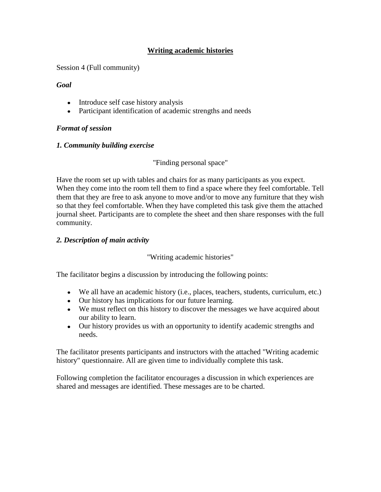## **Writing academic histories**

<span id="page-11-0"></span>Session 4 (Full community)

### *Goal*

- Introduce self case history analysis
- Participant identification of academic strengths and needs

# *Format of session*

## *1. Community building exercise*

"Finding personal space"

Have the room set up with tables and chairs for as many participants as you expect. When they come into the room tell them to find a space where they feel comfortable. Tell them that they are free to ask anyone to move and/or to move any furniture that they wish so that they feel comfortable. When they have completed this task give them the attached journal sheet. Participants are to complete the sheet and then share responses with the full community.

## *2. Description of main activity*

"Writing academic histories"

The facilitator begins a discussion by introducing the following points:

- We all have an academic history (i.e., places, teachers, students, curriculum, etc.)
- Our history has implications for our future learning.
- We must reflect on this history to discover the messages we have acquired about our ability to learn.
- Our history provides us with an opportunity to identify academic strengths and needs.

The facilitator presents participants and instructors with the attached "Writing academic history" questionnaire. All are given time to individually complete this task.

Following completion the facilitator encourages a discussion in which experiences are shared and messages are identified. These messages are to be charted.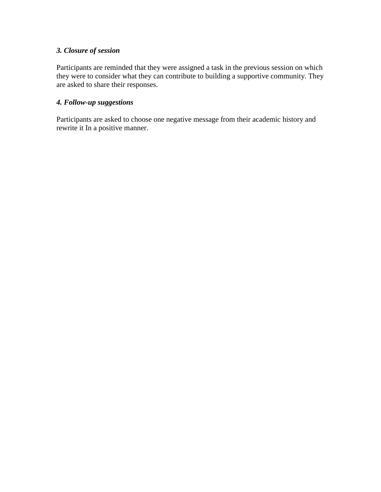## *3. Closure of session*

Participants are reminded that they were assigned a task in the previous session on which they were to consider what they can contribute to building a supportive community. They are asked to share their responses.

# *4. Follow-up suggestions*

Participants are asked to choose one negative message from their academic history and rewrite it In a positive manner.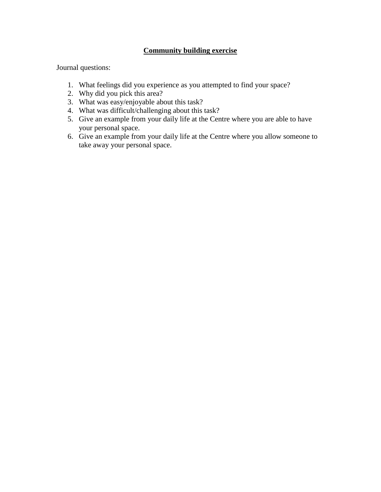## **Community building exercise**

Journal questions:

- 1. What feelings did you experience as you attempted to find your space?
- 2. Why did you pick this area?
- 3. What was easy/enjoyable about this task?
- 4. What was difficult/challenging about this task?
- 5. Give an example from your daily life at the Centre where you are able to have your personal space.
- 6. Give an example from your daily life at the Centre where you allow someone to take away your personal space.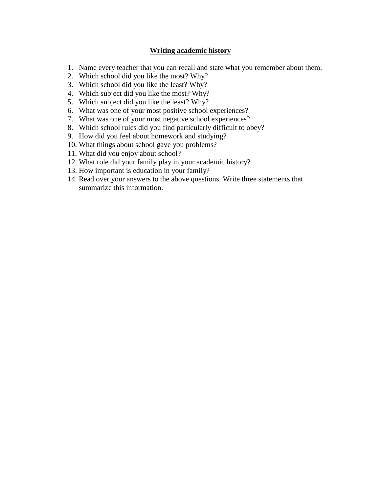#### **Writing academic history**

- 1. Name every teacher that you can recall and state what you remember about them.
- 2. Which school did you like the most? Why?
- 3. Which school did you like the least? Why?
- 4. Which subject did you like the most? Why?
- 5. Which subject did you like the least? Why?
- 6. What was one of your most positive school experiences?
- 7. What was one of your most negative school experiences?
- 8. Which school rules did you find particularly difficult to obey?
- 9. How did you feel about homework and studying?
- 10. What things about school gave you problems?
- 11. What did you enjoy about school?
- 12. What role did your family play in your academic history?
- 13. How important is education in your family?
- 14. Read over your answers to the above questions. Write three statements that summarize this information.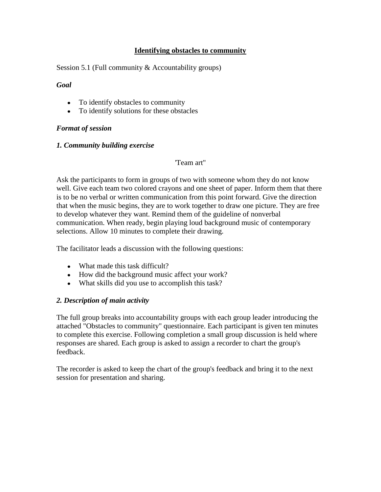## **Identifying obstacles to community**

<span id="page-15-0"></span>Session 5.1 (Full community & Accountability groups)

#### *Goal*

- To identify obstacles to community
- To identify solutions for these obstacles

### *Format of session*

#### *1. Community building exercise*

#### 'Team art''

Ask the participants to form in groups of two with someone whom they do not know well. Give each team two colored crayons and one sheet of paper. Inform them that there is to be no verbal or written communication from this point forward. Give the direction that when the music begins, they are to work together to draw one picture. They are free to develop whatever they want. Remind them of the guideline of nonverbal communication. When ready, begin playing loud background music of contemporary selections. Allow 10 minutes to complete their drawing.

The facilitator leads a discussion with the following questions:

- What made this task difficult?
- How did the background music affect your work?
- What skills did you use to accomplish this task?

## *2. Description of main activity*

The full group breaks into accountability groups with each group leader introducing the attached "Obstacles to community" questionnaire. Each participant is given ten minutes to complete this exercise. Following completion a small group discussion is held where responses are shared. Each group is asked to assign a recorder to chart the group's feedback.

The recorder is asked to keep the chart of the group's feedback and bring it to the next session for presentation and sharing.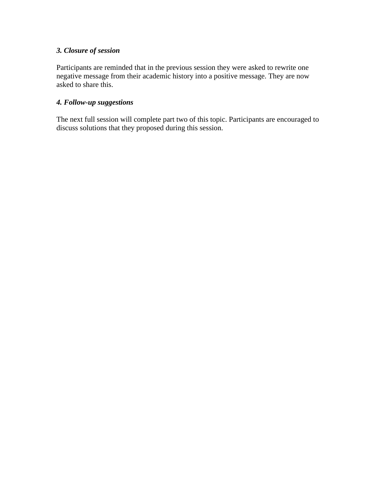## *3. Closure of session*

Participants are reminded that in the previous session they were asked to rewrite one negative message from their academic history into a positive message. They are now asked to share this.

#### *4. Follow-up suggestions*

The next full session will complete part two of this topic. Participants are encouraged to discuss solutions that they proposed during this session.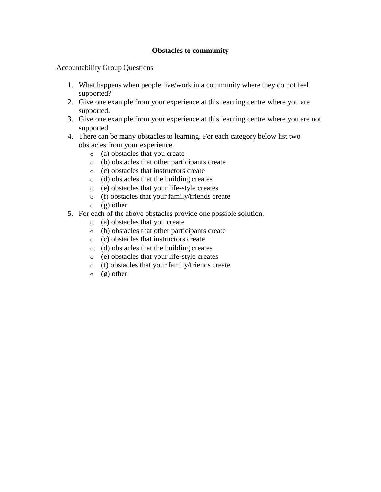## **Obstacles to community**

Accountability Group Questions

- 1. What happens when people live/work in a community where they do not feel supported?
- 2. Give one example from your experience at this learning centre where you are supported.
- 3. Give one example from your experience at this learning centre where you are not supported.
- 4. There can be many obstacles to learning. For each category below list two obstacles from your experience.
	- o (a) obstacles that you create
	- o (b) obstacles that other participants create
	- o (c) obstacles that instructors create
	- o (d) obstacles that the building creates
	- o (e) obstacles that your life-style creates
	- o (f) obstacles that your family/friends create
	- $\circ$  (g) other
- 5. For each of the above obstacles provide one possible solution.
	- o (a) obstacles that you create
	- o (b) obstacles that other participants create
	- o (c) obstacles that instructors create
	- o (d) obstacles that the building creates
	- o (e) obstacles that your life-style creates
	- o (f) obstacles that your family/friends create
	- $\circ$  (g) other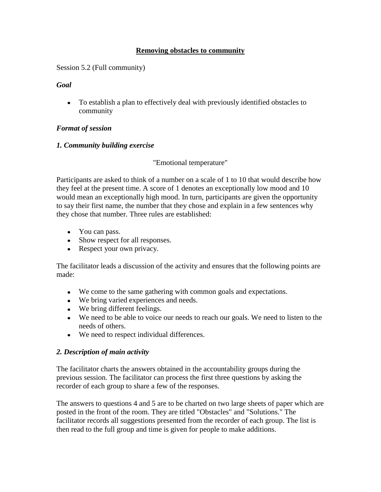## **Removing obstacles to community**

<span id="page-18-0"></span>Session 5.2 (Full community)

### *Goal*

To establish a plan to effectively deal with previously identified obstacles to community

## *Format of session*

## *1. Community building exercise*

"Emotional temperature"

Participants are asked to think of a number on a scale of 1 to 10 that would describe how they feel at the present time. A score of 1 denotes an exceptionally low mood and 10 would mean an exceptionally high mood. In turn, participants are given the opportunity to say their first name, the number that they chose and explain in a few sentences why they chose that number. Three rules are established:

- You can pass.
- Show respect for all responses.
- Respect your own privacy.

The facilitator leads a discussion of the activity and ensures that the following points are made:

- We come to the same gathering with common goals and expectations.
- We bring varied experiences and needs.
- We bring different feelings.
- We need to be able to voice our needs to reach our goals. We need to listen to the needs of others.
- We need to respect individual differences.

## *2. Description of main activity*

The facilitator charts the answers obtained in the accountability groups during the previous session. The facilitator can process the first three questions by asking the recorder of each group to share a few of the responses.

The answers to questions 4 and 5 are to be charted on two large sheets of paper which are posted in the front of the room. They are titled "Obstacles" and "Solutions." The facilitator records all suggestions presented from the recorder of each group. The list is then read to the full group and time is given for people to make additions.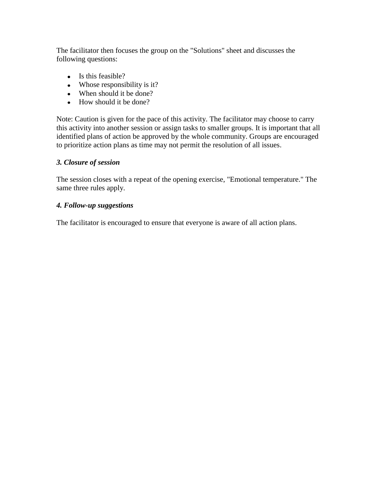The facilitator then focuses the group on the "Solutions" sheet and discusses the following questions:

- Is this feasible?
- Whose responsibility is it?
- When should it be done?
- How should it be done?

Note: Caution is given for the pace of this activity. The facilitator may choose to carry this activity into another session or assign tasks to smaller groups. It is important that all identified plans of action be approved by the whole community. Groups are encouraged to prioritize action plans as time may not permit the resolution of all issues.

#### *3. Closure of session*

The session closes with a repeat of the opening exercise, "Emotional temperature." The same three rules apply.

### *4. Follow-up suggestions*

The facilitator is encouraged to ensure that everyone is aware of all action plans.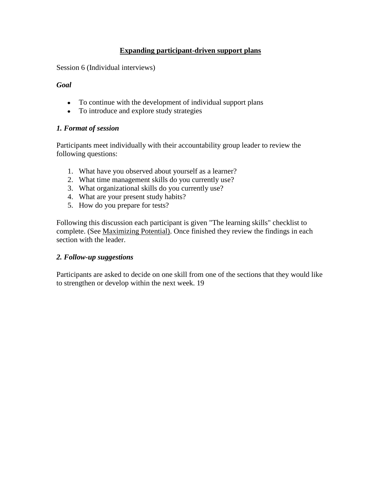## **Expanding participant-driven support plans**

<span id="page-20-0"></span>Session 6 (Individual interviews)

#### *Goal*

- To continue with the development of individual support plans
- To introduce and explore study strategies

#### *1. Format of session*

Participants meet individually with their accountability group leader to review the following questions:

- 1. What have you observed about yourself as a learner?
- 2. What time management skills do you currently use?
- 3. What organizational skills do you currently use?
- 4. What are your present study habits?
- 5. How do you prepare for tests?

Following this discussion each participant is given "The learning skills" checklist to complete. (See Maximizing Potential). Once finished they review the findings in each section with the leader.

#### *2. Follow-up suggestions*

Participants are asked to decide on one skill from one of the sections that they would like to strengthen or develop within the next week. 19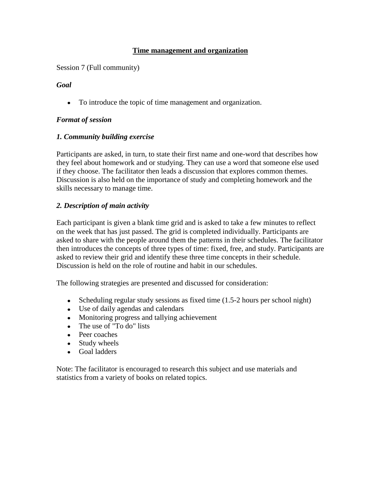## **Time management and organization**

<span id="page-21-0"></span>Session 7 (Full community)

### *Goal*

To introduce the topic of time management and organization.

## *Format of session*

## *1. Community building exercise*

Participants are asked, in turn, to state their first name and one-word that describes how they feel about homework and or studying. They can use a word that someone else used if they choose. The facilitator then leads a discussion that explores common themes. Discussion is also held on the importance of study and completing homework and the skills necessary to manage time.

### *2. Description of main activity*

Each participant is given a blank time grid and is asked to take a few minutes to reflect on the week that has just passed. The grid is completed individually. Participants are asked to share with the people around them the patterns in their schedules. The facilitator then introduces the concepts of three types of time: fixed, free, and study. Participants are asked to review their grid and identify these three time concepts in their schedule. Discussion is held on the role of routine and habit in our schedules.

The following strategies are presented and discussed for consideration:

- Scheduling regular study sessions as fixed time (1.5-2 hours per school night)
- Use of daily agendas and calendars
- Monitoring progress and tallying achievement
- The use of "To do" lists
- Peer coaches
- Study wheels
- Goal ladders

Note: The facilitator is encouraged to research this subject and use materials and statistics from a variety of books on related topics.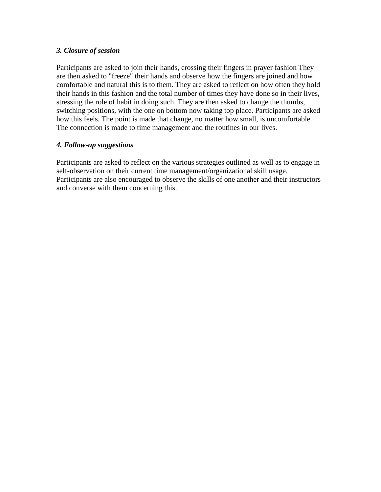#### *3. Closure of session*

Participants are asked to join their hands, crossing their fingers in prayer fashion They are then asked to "freeze" their hands and observe how the fingers are joined and how comfortable and natural this is to them. They are asked to reflect on how often they hold their hands in this fashion and the total number of times they have done so in their lives, stressing the role of habit in doing such. They are then asked to change the thumbs, switching positions, with the one on bottom now taking top place. Participants are asked how this feels. The point is made that change, no matter how small, is uncomfortable. The connection is made to time management and the routines in our lives.

## *4. Follow-up suggestions*

Participants are asked to reflect on the various strategies outlined as well as to engage in self-observation on their current time management/organizational skill usage. Participants are also encouraged to observe the skills of one another and their instructors and converse with them concerning this.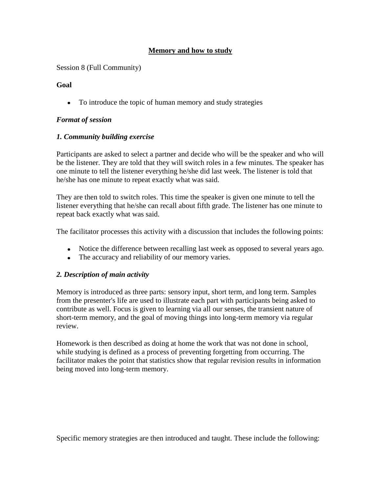# **Memory and how to study**

<span id="page-23-0"></span>Session 8 (Full Community)

## **Goal**

To introduce the topic of human memory and study strategies

# *Format of session*

# *1. Community building exercise*

Participants are asked to select a partner and decide who will be the speaker and who will be the listener. They are told that they will switch roles in a few minutes. The speaker has one minute to tell the listener everything he/she did last week. The listener is told that he/she has one minute to repeat exactly what was said.

They are then told to switch roles. This time the speaker is given one minute to tell the listener everything that he/she can recall about fifth grade. The listener has one minute to repeat back exactly what was said.

The facilitator processes this activity with a discussion that includes the following points:

- Notice the difference between recalling last week as opposed to several years ago.
- The accuracy and reliability of our memory varies.

## *2. Description of main activity*

Memory is introduced as three parts: sensory input, short term, and long term. Samples from the presenter's life are used to illustrate each part with participants being asked to contribute as well. Focus is given to learning via all our senses, the transient nature of short-term memory, and the goal of moving things into long-term memory via regular review.

Homework is then described as doing at home the work that was not done in school, while studying is defined as a process of preventing forgetting from occurring. The facilitator makes the point that statistics show that regular revision results in information being moved into long-term memory.

Specific memory strategies are then introduced and taught. These include the following: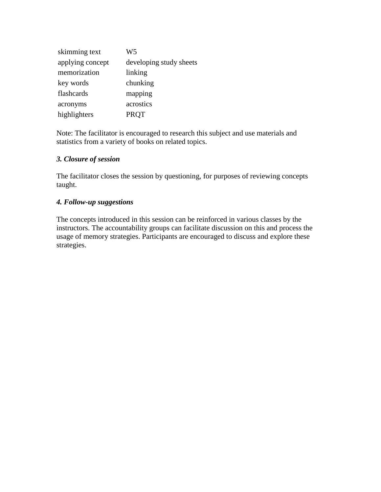| skimming text    | W <sub>5</sub>          |
|------------------|-------------------------|
| applying concept | developing study sheets |
| memorization     | linking                 |
| key words        | chunking                |
| flashcards       | mapping                 |
| acronyms         | acrostics               |
| highlighters     | <b>PRQT</b>             |

Note: The facilitator is encouraged to research this subject and use materials and statistics from a variety of books on related topics.

### *3. Closure of session*

The facilitator closes the session by questioning, for purposes of reviewing concepts taught.

### *4. Follow-up suggestions*

The concepts introduced in this session can be reinforced in various classes by the instructors. The accountability groups can facilitate discussion on this and process the usage of memory strategies. Participants are encouraged to discuss and explore these strategies.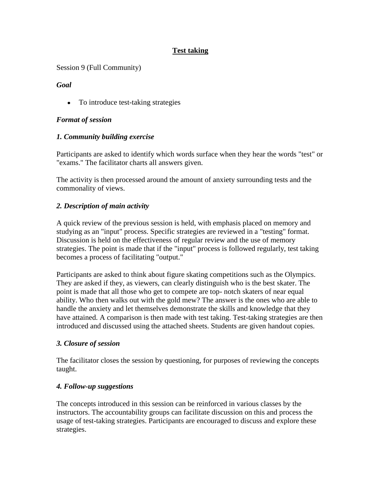# **Test taking**

<span id="page-25-0"></span>Session 9 (Full Community)

*Goal*

• To introduce test-taking strategies

## *Format of session*

### *1. Community building exercise*

Participants are asked to identify which words surface when they hear the words "test" or "exams." The facilitator charts all answers given.

The activity is then processed around the amount of anxiety surrounding tests and the commonality of views.

### *2. Description of main activity*

A quick review of the previous session is held, with emphasis placed on memory and studying as an "input" process. Specific strategies are reviewed in a "testing" format. Discussion is held on the effectiveness of regular review and the use of memory strategies. The point is made that if the "input" process is followed regularly, test taking becomes a process of facilitating "output."

Participants are asked to think about figure skating competitions such as the Olympics. They are asked if they, as viewers, can clearly distinguish who is the best skater. The point is made that all those who get to compete are top- notch skaters of near equal ability. Who then walks out with the gold mew? The answer is the ones who are able to handle the anxiety and let themselves demonstrate the skills and knowledge that they have attained. A comparison is then made with test taking. Test-taking strategies are then introduced and discussed using the attached sheets. Students are given handout copies.

#### *3. Closure of session*

The facilitator closes the session by questioning, for purposes of reviewing the concepts taught.

#### *4. Follow-up suggestions*

The concepts introduced in this session can be reinforced in various classes by the instructors. The accountability groups can facilitate discussion on this and process the usage of test-taking strategies. Participants are encouraged to discuss and explore these strategies.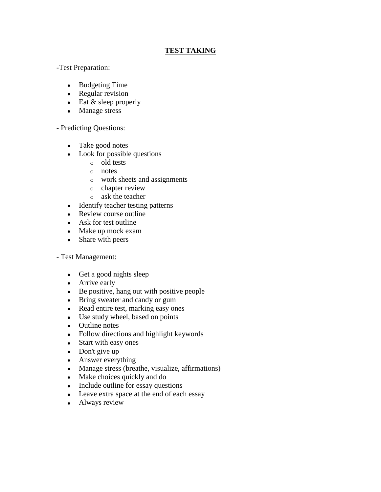## **TEST TAKING**

### -Test Preparation:

- Budgeting Time
- Regular revision
- $\bullet$  Eat & sleep properly
- Manage stress

## - Predicting Questions:

- Take good notes
- Look for possible questions
	- o old tests
	- o notes
	- o work sheets and assignments
	- o chapter review
	- o ask the teacher
- Identify teacher testing patterns
- Review course outline
- Ask for test outline
- Make up mock exam
- Share with peers

## - Test Management:

- Get a good nights sleep
- Arrive early
- Be positive, hang out with positive people
- Bring sweater and candy or gum
- Read entire test, marking easy ones
- Use study wheel, based on points
- Outline notes
- Follow directions and highlight keywords
- Start with easy ones
- Don't give up
- Answer everything
- Manage stress (breathe, visualize, affirmations)
- Make choices quickly and do
- Include outline for essay questions
- Leave extra space at the end of each essay
- Always review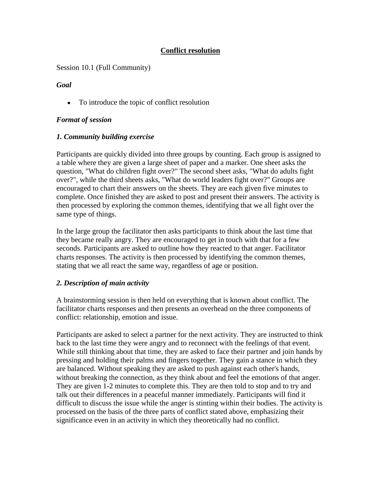# **Conflict resolution**

<span id="page-27-0"></span>Session 10.1 (Full Community)

### *Goal*

To introduce the topic of conflict resolution

## *Format of session*

### *1. Community building exercise*

Participants are quickly divided into three groups by counting. Each group is assigned to a table where they are given a large sheet of paper and a marker. One sheet asks the question, "What do children fight over?" The second sheet asks, "What do adults fight over?", while the third sheets asks, "What do world leaders fight over?" Groups are encouraged to chart their answers on the sheets. They are each given five minutes to complete. Once finished they are asked to post and present their answers. The activity is then processed by exploring the common themes, identifying that we all fight over the same type of things.

In the large group the facilitator then asks participants to think about the last time that they became really angry. They are encouraged to get in touch with that for a few seconds. Participants are asked to outline how they reacted to that anger. Facilitator charts responses. The activity is then processed by identifying the common themes, stating that we all react the same way, regardless of age or position.

## *2. Description of main activity*

A brainstorming session is then held on everything that is known about conflict. The facilitator charts responses and then presents an overhead on the three components of conflict: relationship, emotion and issue.

Participants are asked to select a partner for the next activity. They are instructed to think back to the last time they were angry and to reconnect with the feelings of that event. While still thinking about that time, they are asked to face their partner and join hands by pressing and holding their palms and fingers together. They gain a stance in which they are balanced. Without speaking they are asked to push against each other's hands, without breaking the connection, as they think about and feel the emotions of that anger. They are given 1-2 minutes to complete this. They are then told to stop and to try and talk out their differences in a peaceful manner immediately. Participants will find it difficult to discuss the issue while the anger is stinting within their bodies. The activity is processed on the basis of the three parts of conflict stated above, emphasizing their significance even in an activity in which they theoretically had no conflict.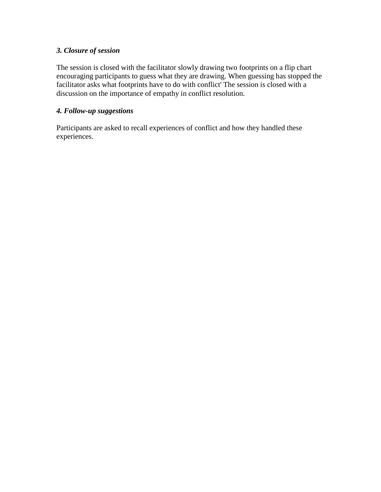## *3. Closure of session*

The session is closed with the facilitator slowly drawing two footprints on a flip chart encouraging participants to guess what they are drawing. When guessing has stopped the facilitator asks what footprints have to do with conflict' The session is closed with a discussion on the importance of empathy in conflict resolution.

## *4. Follow-up suggestions*

Participants are asked to recall experiences of conflict and how they handled these experiences.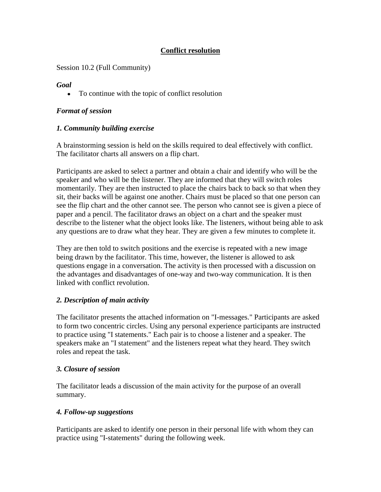# **Conflict resolution**

<span id="page-29-0"></span>Session 10.2 (Full Community)

### *Goal*

To continue with the topic of conflict resolution  $\bullet$ 

## *Format of session*

### *1. Community building exercise*

A brainstorming session is held on the skills required to deal effectively with conflict. The facilitator charts all answers on a flip chart.

Participants are asked to select a partner and obtain a chair and identify who will be the speaker and who will be the listener. They are informed that they will switch roles momentarily. They are then instructed to place the chairs back to back so that when they sit, their backs will be against one another. Chairs must be placed so that one person can see the flip chart and the other cannot see. The person who cannot see is given a piece of paper and a pencil. The facilitator draws an object on a chart and the speaker must describe to the listener what the object looks like. The listeners, without being able to ask any questions are to draw what they hear. They are given a few minutes to complete it.

They are then told to switch positions and the exercise is repeated with a new image being drawn by the facilitator. This time, however, the listener is allowed to ask questions engage in a conversation. The activity is then processed with a discussion on the advantages and disadvantages of one-way and two-way communication. It is then linked with conflict revolution.

## *2. Description of main activity*

The facilitator presents the attached information on "I-messages." Participants are asked to form two concentric circles. Using any personal experience participants are instructed to practice using "I statements." Each pair is to choose a listener and a speaker. The speakers make an "I statement" and the listeners repeat what they heard. They switch roles and repeat the task.

## *3. Closure of session*

The facilitator leads a discussion of the main activity for the purpose of an overall summary.

## *4. Follow-up suggestions*

Participants are asked to identify one person in their personal life with whom they can practice using "I-statements" during the following week.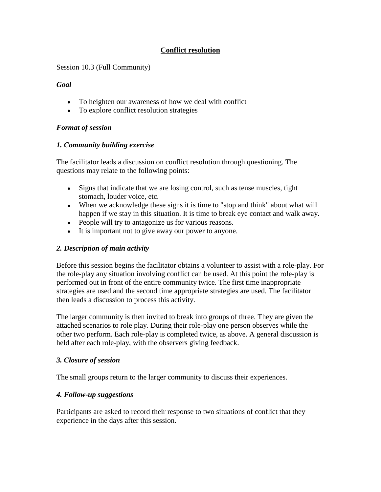# **Conflict resolution**

<span id="page-30-0"></span>Session 10.3 (Full Community)

### *Goal*

- To heighten our awareness of how we deal with conflict
- To explore conflict resolution strategies

## *Format of session*

## *1. Community building exercise*

The facilitator leads a discussion on conflict resolution through questioning. The questions may relate to the following points:

- Signs that indicate that we are losing control, such as tense muscles, tight stomach, louder voice, etc.
- When we acknowledge these signs it is time to "stop and think" about what will happen if we stay in this situation. It is time to break eye contact and walk away.
- People will try to antagonize us for various reasons.
- It is important not to give away our power to anyone.

## *2. Description of main activity*

Before this session begins the facilitator obtains a volunteer to assist with a role-play. For the role-play any situation involving conflict can be used. At this point the role-play is performed out in front of the entire community twice. The first time inappropriate strategies are used and the second time appropriate strategies are used. The facilitator then leads a discussion to process this activity.

The larger community is then invited to break into groups of three. They are given the attached scenarios to role play. During their role-play one person observes while the other two perform. Each role-play is completed twice, as above. A general discussion is held after each role-play, with the observers giving feedback.

## *3. Closure of session*

The small groups return to the larger community to discuss their experiences.

## *4. Follow-up suggestions*

Participants are asked to record their response to two situations of conflict that they experience in the days after this session.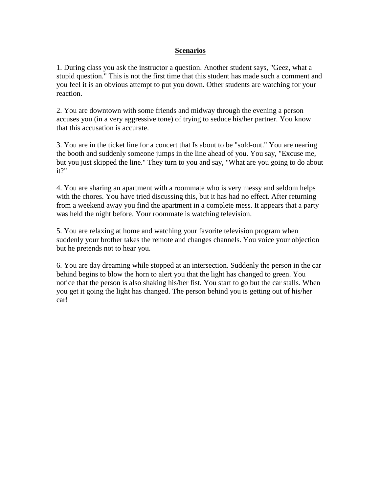#### **Scenarios**

1. During class you ask the instructor a question. Another student says, "Geez, what a stupid question." This is not the first time that this student has made such a comment and you feel it is an obvious attempt to put you down. Other students are watching for your reaction.

2. You are downtown with some friends and midway through the evening a person accuses you (in a very aggressive tone) of trying to seduce his/her partner. You know that this accusation is accurate.

3. You are in the ticket line for a concert that Is about to be "sold-out." You are nearing the booth and suddenly someone jumps in the line ahead of you. You say, "Excuse me, but you just skipped the line." They turn to you and say, "What are you going to do about it?"

4. You are sharing an apartment with a roommate who is very messy and seldom helps with the chores. You have tried discussing this, but it has had no effect. After returning from a weekend away you find the apartment in a complete mess. It appears that a party was held the night before. Your roommate is watching television.

5. You are relaxing at home and watching your favorite television program when suddenly your brother takes the remote and changes channels. You voice your objection but he pretends not to hear you.

6. You are day dreaming while stopped at an intersection. Suddenly the person in the car behind begins to blow the horn to alert you that the light has changed to green. You notice that the person is also shaking his/her fist. You start to go but the car stalls. When you get it going the light has changed. The person behind you is getting out of his/her car!